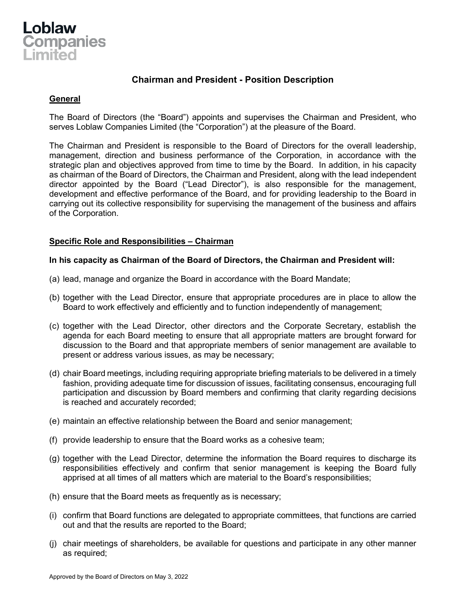

# **Chairman and President - Position Description**

## **General**

The Board of Directors (the "Board") appoints and supervises the Chairman and President, who serves Loblaw Companies Limited (the "Corporation") at the pleasure of the Board.

The Chairman and President is responsible to the Board of Directors for the overall leadership, management, direction and business performance of the Corporation, in accordance with the strategic plan and objectives approved from time to time by the Board. In addition, in his capacity as chairman of the Board of Directors, the Chairman and President, along with the lead independent director appointed by the Board ("Lead Director"), is also responsible for the management, development and effective performance of the Board, and for providing leadership to the Board in carrying out its collective responsibility for supervising the management of the business and affairs of the Corporation.

### **Specific Role and Responsibilities – Chairman**

#### **In his capacity as Chairman of the Board of Directors, the Chairman and President will:**

- (a) lead, manage and organize the Board in accordance with the Board Mandate;
- (b) together with the Lead Director, ensure that appropriate procedures are in place to allow the Board to work effectively and efficiently and to function independently of management;
- (c) together with the Lead Director, other directors and the Corporate Secretary, establish the agenda for each Board meeting to ensure that all appropriate matters are brought forward for discussion to the Board and that appropriate members of senior management are available to present or address various issues, as may be necessary;
- (d) chair Board meetings, including requiring appropriate briefing materials to be delivered in a timely fashion, providing adequate time for discussion of issues, facilitating consensus, encouraging full participation and discussion by Board members and confirming that clarity regarding decisions is reached and accurately recorded;
- (e) maintain an effective relationship between the Board and senior management;
- (f) provide leadership to ensure that the Board works as a cohesive team;
- (g) together with the Lead Director, determine the information the Board requires to discharge its responsibilities effectively and confirm that senior management is keeping the Board fully apprised at all times of all matters which are material to the Board's responsibilities;
- (h) ensure that the Board meets as frequently as is necessary;
- (i) confirm that Board functions are delegated to appropriate committees, that functions are carried out and that the results are reported to the Board;
- (j) chair meetings of shareholders, be available for questions and participate in any other manner as required;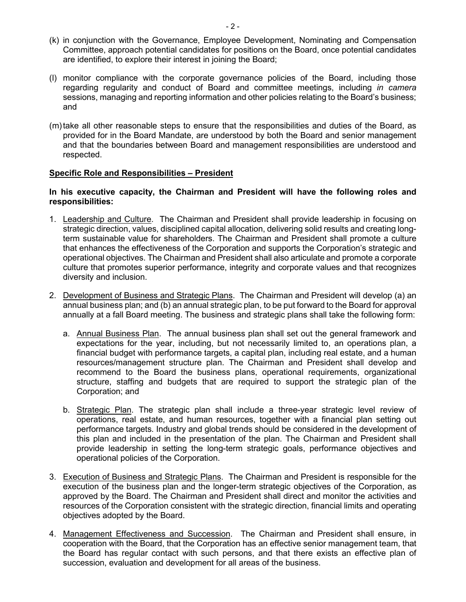- (k) in conjunction with the Governance, Employee Development, Nominating and Compensation Committee, approach potential candidates for positions on the Board, once potential candidates are identified, to explore their interest in joining the Board;
- (l) monitor compliance with the corporate governance policies of the Board, including those regarding regularity and conduct of Board and committee meetings, including *in camera* sessions, managing and reporting information and other policies relating to the Board's business; and
- (m)take all other reasonable steps to ensure that the responsibilities and duties of the Board, as provided for in the Board Mandate, are understood by both the Board and senior management and that the boundaries between Board and management responsibilities are understood and respected.

#### **Specific Role and Responsibilities – President**

#### **In his executive capacity, the Chairman and President will have the following roles and responsibilities:**

- 1. Leadership and Culture. The Chairman and President shall provide leadership in focusing on strategic direction, values, disciplined capital allocation, delivering solid results and creating longterm sustainable value for shareholders. The Chairman and President shall promote a culture that enhances the effectiveness of the Corporation and supports the Corporation's strategic and operational objectives. The Chairman and President shall also articulate and promote a corporate culture that promotes superior performance, integrity and corporate values and that recognizes diversity and inclusion.
- 2. Development of Business and Strategic Plans. The Chairman and President will develop (a) an annual business plan; and (b) an annual strategic plan, to be put forward to the Board for approval annually at a fall Board meeting. The business and strategic plans shall take the following form:
	- a. Annual Business Plan. The annual business plan shall set out the general framework and expectations for the year, including, but not necessarily limited to, an operations plan, a financial budget with performance targets, a capital plan, including real estate, and a human resources/management structure plan. The Chairman and President shall develop and recommend to the Board the business plans, operational requirements, organizational structure, staffing and budgets that are required to support the strategic plan of the Corporation; and
	- b. Strategic Plan. The strategic plan shall include a three-year strategic level review of operations, real estate, and human resources, together with a financial plan setting out performance targets. Industry and global trends should be considered in the development of this plan and included in the presentation of the plan. The Chairman and President shall provide leadership in setting the long-term strategic goals, performance objectives and operational policies of the Corporation.
- 3. Execution of Business and Strategic Plans. The Chairman and President is responsible for the execution of the business plan and the longer-term strategic objectives of the Corporation, as approved by the Board. The Chairman and President shall direct and monitor the activities and resources of the Corporation consistent with the strategic direction, financial limits and operating objectives adopted by the Board.
- 4. Management Effectiveness and Succession. The Chairman and President shall ensure, in cooperation with the Board, that the Corporation has an effective senior management team, that the Board has regular contact with such persons, and that there exists an effective plan of succession, evaluation and development for all areas of the business.